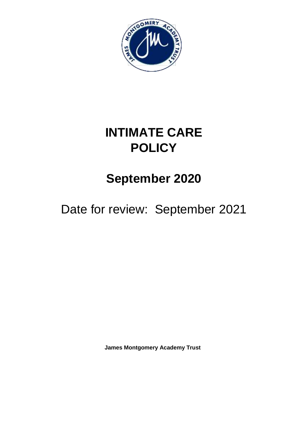

# **INTIMATE CARE POLICY**

# **September 2020**

Date for review: September 2021

**James Montgomery Academy Trust**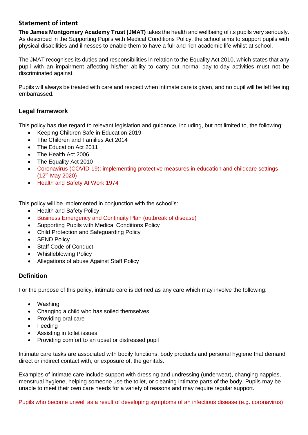# **Statement of intent**

**The James Montgomery Academy Trust (JMAT)** takes the health and wellbeing of its pupils very seriously. As described in the Supporting Pupils with Medical Conditions Policy, the school aims to support pupils with physical disabilities and illnesses to enable them to have a full and rich academic life whilst at school.

The JMAT recognises its duties and responsibilities in relation to the Equality Act 2010, which states that any pupil with an impairment affecting his/her ability to carry out normal day-to-day activities must not be discriminated against.

Pupils will always be treated with care and respect when intimate care is given, and no pupil will be left feeling embarrassed.

# **Legal framework**

This policy has due regard to relevant legislation and guidance, including, but not limited to, the following:

- Keeping Children Safe in Education 2019
- The Children and Families Act 2014
- The Education Act 2011
- The Health Act 2006
- The Equality Act 2010
- Coronavirus (COVID-19): implementing protective measures in education and childcare settings  $(12^{th}$  May 2020)
- Health and Safety At Work 1974

This policy will be implemented in conjunction with the school's:

- Health and Safety Policy
- Business Emergency and Continuity Plan (outbreak of disease)
- Supporting Pupils with Medical Conditions Policy
- Child Protection and Safeguarding Policy
- SEND Policy
- Staff Code of Conduct
- Whistleblowing Policy
- Allegations of abuse Against Staff Policy

### **Definition**

For the purpose of this policy, intimate care is defined as any care which may involve the following:

- Washing
- Changing a child who has soiled themselves
- Providing oral care
- Feeding
- Assisting in toilet issues
- Providing comfort to an upset or distressed pupil

Intimate care tasks are associated with bodily functions, body products and personal hygiene that demand direct or indirect contact with, or exposure of, the genitals.

Examples of intimate care include support with dressing and undressing (underwear), changing nappies, menstrual hygiene, helping someone use the toilet, or cleaning intimate parts of the body. Pupils may be unable to meet their own care needs for a variety of reasons and may require regular support.

Pupils who become unwell as a result of developing symptoms of an infectious disease (e.g. coronavirus)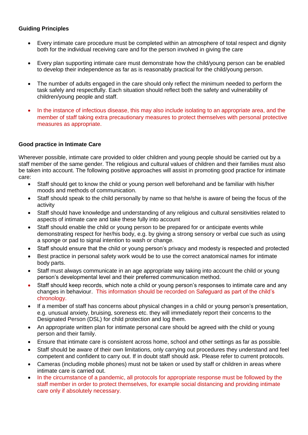#### **Guiding Principles**

- Every intimate care procedure must be completed within an atmosphere of total respect and dignity both for the individual receiving care and for the person involved in giving the care
- Every plan supporting intimate care must demonstrate how the child/young person can be enabled to develop their independence as far as is reasonably practical for the child/young person.
- The number of adults engaged in the care should only reflect the minimum needed to perform the task safely and respectfully. Each situation should reflect both the safety and vulnerability of children/young people and staff.
- In the instance of infectious disease, this may also include isolating to an appropriate area, and the member of staff taking extra precautionary measures to protect themselves with personal protective measures as appropriate.

### **Good practice in Intimate Care**

Wherever possible, intimate care provided to older children and young people should be carried out by a staff member of the same gender. The religious and cultural values of children and their families must also be taken into account. The following positive approaches will assist in promoting good practice for intimate care:

- Staff should get to know the child or young person well beforehand and be familiar with his/her moods and methods of communication.
- Staff should speak to the child personally by name so that he/she is aware of being the focus of the activity
- Staff should have knowledge and understanding of any religious and cultural sensitivities related to aspects of intimate care and take these fully into account
- Staff should enable the child or young person to be prepared for or anticipate events while demonstrating respect for her/his body, e.g. by giving a strong sensory or verbal cue such as using a sponge or pad to signal intention to wash or change.
- Staff should ensure that the child or young person's privacy and modesty is respected and protected
- Best practice in personal safety work would be to use the correct anatomical names for intimate body parts.
- Staff must always communicate in an age appropriate way taking into account the child or young person's developmental level and their preferred communication method.
- Staff should keep records, which note a child or young person's responses to intimate care and any changes in behaviour. This information should be recorded on Safeguard as part of the child's chronology.
- If a member of staff has concerns about physical changes in a child or young person's presentation, e.g. unusual anxiety, bruising, soreness etc. they will immediately report their concerns to the Designated Person (DSL) for child protection and log them.
- An appropriate written plan for intimate personal care should be agreed with the child or young person and their family.
- Ensure that intimate care is consistent across home, school and other settings as far as possible.
- Staff should be aware of their own limitations, only carrying out procedures they understand and feel competent and confident to carry out. If in doubt staff should ask. Please refer to current protocols.
- Cameras (including mobile phones) must not be taken or used by staff or children in areas where intimate care is carried out.
- In the circumstance of a pandemic, all protocols for appropriate response must be followed by the staff member in order to protect themselves, for example social distancing and providing intimate care only if absolutely necessary.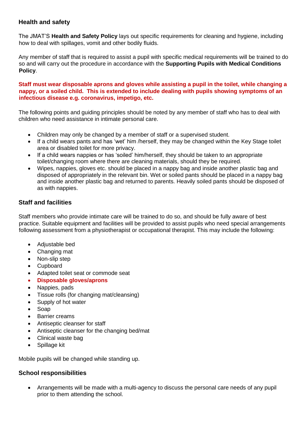## **Health and safety**

The JMAT'S **Health and Safety Policy** lays out specific requirements for cleaning and hygiene, including how to deal with spillages, vomit and other bodily fluids.

Any member of staff that is required to assist a pupil with specific medical requirements will be trained to do so and will carry out the procedure in accordance with the **Supporting Pupils with Medical Conditions Policy**.

**Staff must wear disposable aprons and gloves while assisting a pupil in the toilet, while changing a nappy, or a soiled child. This is extended to include dealing with pupils showing symptoms of an infectious disease e.g. coronavirus, impetigo, etc.**

The following points and guiding principles should be noted by any member of staff who has to deal with children who need assistance in intimate personal care.

- Children may only be changed by a member of staff or a supervised student.
- If a child wears pants and has 'wet' him /herself, they may be changed within the Key Stage toilet area or disabled toilet for more privacy.
- If a child wears nappies or has 'soiled' him/herself, they should be taken to an appropriate toilet/changing room where there are cleaning materials, should they be required.
- Wipes, nappies, gloves etc. should be placed in a nappy bag and inside another plastic bag and disposed of appropriately in the relevant bin. Wet or soiled pants should be placed in a nappy bag and inside another plastic bag and returned to parents. Heavily soiled pants should be disposed of as with nappies.

## **Staff and facilities**

Staff members who provide intimate care will be trained to do so, and should be fully aware of best practice. Suitable equipment and facilities will be provided to assist pupils who need special arrangements following assessment from a physiotherapist or occupational therapist. This may include the following:

- Adjustable bed
- Changing mat
- Non-slip step
- Cupboard
- Adapted toilet seat or commode seat
- **Disposable gloves/aprons**
- Nappies, pads
- Tissue rolls (for changing mat/cleansing)
- Supply of hot water
- Soap
- Barrier creams
- Antiseptic cleanser for staff
- Antiseptic cleanser for the changing bed/mat
- Clinical waste bag
- Spillage kit

Mobile pupils will be changed while standing up.

### **School responsibilities**

 Arrangements will be made with a multi-agency to discuss the personal care needs of any pupil prior to them attending the school.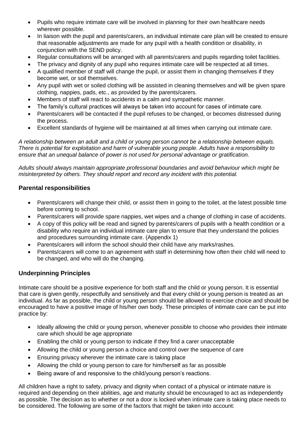- Pupils who require intimate care will be involved in planning for their own healthcare needs wherever possible.
- In liaison with the pupil and parents/carers, an individual intimate care plan will be created to ensure that reasonable adjustments are made for any pupil with a health condition or disability, in conjunction with the SEND policy.
- Regular consultations will be arranged with all parents/carers and pupils regarding toilet facilities.
- The privacy and dignity of any pupil who requires intimate care will be respected at all times.
- A qualified member of staff will change the pupil, or assist them in changing themselves if they become wet, or soil themselves.
- Any pupil with wet or soiled clothing will be assisted in cleaning themselves and will be given spare clothing, nappies, pads, etc., as provided by the parents/carers.
- Members of staff will react to accidents in a calm and sympathetic manner.
- The family's cultural practices will always be taken into account for cases of intimate care.
- Parents/carers will be contacted if the pupil refuses to be changed, or becomes distressed during the process.
- Excellent standards of hygiene will be maintained at all times when carrying out intimate care.

*A relationship between an adult and a child or young person cannot be a relationship between equals. There is potential for exploitation and harm of vulnerable young people. Adults have a responsibility to ensure that an unequal balance of power is not used for personal advantage or gratification.* 

*Adults should always maintain appropriate professional boundaries and avoid behaviour which might be misinterpreted by others. They should report and record any incident with this potential.* 

## **Parental responsibilities**

- Parents/carers will change their child, or assist them in going to the toilet, at the latest possible time before coming to school.
- Parents/carers will provide spare nappies, wet wipes and a change of clothing in case of accidents.
- A copy of this policy will be read and signed by parents/carers of pupils with a health condition or a disability who require an individual intimate care plan to ensure that they understand the policies and procedures surrounding intimate care. (Appendix 1)
- Parents/carers will inform the school should their child have any marks/rashes.
- Parents/carers will come to an agreement with staff in determining how often their child will need to be changed, and who will do the changing.

## **Underpinning Principles**

Intimate care should be a positive experience for both staff and the child or young person. It is essential that care is given gently, respectfully and sensitively and that every child or young person is treated as an individual. As far as possible, the child or young person should be allowed to exercise choice and should be encouraged to have a positive image of his/her own body. These principles of intimate care can be put into practice by:

- Ideally allowing the child or young person, whenever possible to choose who provides their intimate care which should be age appropriate
- Enabling the child or young person to indicate if they find a carer unacceptable
- Allowing the child or young person a choice and control over the sequence of care
- Ensuring privacy wherever the intimate care is taking place
- Allowing the child or young person to care for him/herself as far as possible
- Being aware of and responsive to the child/young person's reactions.

All children have a right to safety, privacy and dignity when contact of a physical or intimate nature is required and depending on their abilities, age and maturity should be encouraged to act as independently as possible. The decision as to whether or not a door is locked when intimate care is taking place needs to be considered. The following are some of the factors that might be taken into account: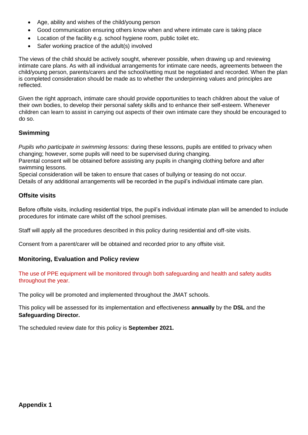- Age, ability and wishes of the child/young person
- Good communication ensuring others know when and where intimate care is taking place
- Location of the facility e.g. school hygiene room, public toilet etc.
- Safer working practice of the adult(s) involved

The views of the child should be actively sought, wherever possible, when drawing up and reviewing intimate care plans. As with all individual arrangements for intimate care needs, agreements between the child/young person, parents/carers and the school/setting must be negotiated and recorded. When the plan is completed consideration should be made as to whether the underpinning values and principles are reflected.

Given the right approach, intimate care should provide opportunities to teach children about the value of their own bodies, to develop their personal safety skills and to enhance their self-esteem. Whenever children can learn to assist in carrying out aspects of their own intimate care they should be encouraged to do so.

## **Swimming**

*Pupils who participate in swimming lessons:* during these lessons, pupils are entitled to privacy when changing; however, some pupils will need to be supervised during changing.

Parental consent will be obtained before assisting any pupils in changing clothing before and after swimming lessons.

Special consideration will be taken to ensure that cases of bullying or teasing do not occur. Details of any additional arrangements will be recorded in the pupil's individual intimate care plan.

### **Offsite visits**

Before offsite visits, including residential trips, the pupil's individual intimate plan will be amended to include procedures for intimate care whilst off the school premises.

Staff will apply all the procedures described in this policy during residential and off-site visits.

Consent from a parent/carer will be obtained and recorded prior to any offsite visit.

### **Monitoring, Evaluation and Policy review**

The use of PPE equipment will be monitored through both safeguarding and health and safety audits throughout the year.

The policy will be promoted and implemented throughout the JMAT schools.

This policy will be assessed for its implementation and effectiveness **annually** by the **DSL** and the **Safeguarding Director.**

The scheduled review date for this policy is **September 2021.**